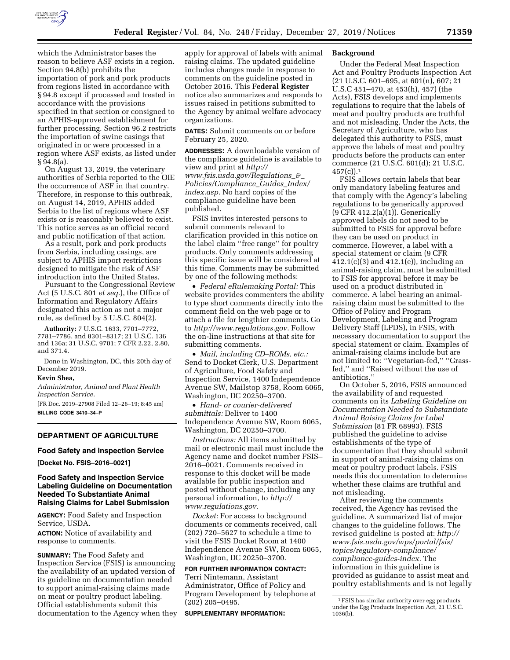

which the Administrator bases the reason to believe ASF exists in a region. Section 94.8(b) prohibits the importation of pork and pork products from regions listed in accordance with § 94.8 except if processed and treated in accordance with the provisions specified in that section or consigned to an APHIS-approved establishment for further processing. Section 96.2 restricts the importation of swine casings that originated in or were processed in a region where ASF exists, as listed under § 94.8(a).

On August 13, 2019, the veterinary authorities of Serbia reported to the OIE the occurrence of ASF in that country. Therefore, in response to this outbreak, on August 14, 2019, APHIS added Serbia to the list of regions where ASF exists or is reasonably believed to exist. This notice serves as an official record and public notification of that action.

As a result, pork and pork products from Serbia, including casings, are subject to APHIS import restrictions designed to mitigate the risk of ASF introduction into the United States.

Pursuant to the Congressional Review Act (5 U.S.C. 801 *et seq.*), the Office of Information and Regulatory Affairs designated this action as not a major rule, as defined by 5 U.S.C. 804(2).

**Authority:** 7 U.S.C. 1633, 7701–7772, 7781–7786, and 8301–8317; 21 U.S.C. 136 and 136a; 31 U.S.C. 9701; 7 CFR 2.22, 2.80, and 371.4.

Done in Washington, DC, this 20th day of December 2019.

## **Kevin Shea,**

*Administrator, Animal and Plant Health Inspection Service.* 

[FR Doc. 2019–27908 Filed 12–26–19; 8:45 am] **BILLING CODE 3410–34–P** 

# **DEPARTMENT OF AGRICULTURE**

#### **Food Safety and Inspection Service**

**[Docket No. FSIS–2016–0021]** 

## **Food Safety and Inspection Service Labeling Guideline on Documentation Needed To Substantiate Animal Raising Claims for Label Submission**

**AGENCY:** Food Safety and Inspection Service, USDA.

**ACTION:** Notice of availability and response to comments.

**SUMMARY:** The Food Safety and Inspection Service (FSIS) is announcing the availability of an updated version of its guideline on documentation needed to support animal-raising claims made on meat or poultry product labeling. Official establishments submit this documentation to the Agency when they

apply for approval of labels with animal raising claims. The updated guideline includes changes made in response to comments on the guideline posted in October 2016. This **Federal Register**  notice also summarizes and responds to issues raised in petitions submitted to the Agency by animal welfare advocacy organizations.

**DATES:** Submit comments on or before February 25, 2020.

**ADDRESSES:** A downloadable version of the compliance guideline is available to view and print at *[http://](http://www.fsis.usda.gov/Regulations_&_Policies/Compliance_Guides_Index/index.asp) [www.fsis.usda.gov/Regulations](http://www.fsis.usda.gov/Regulations_&_Policies/Compliance_Guides_Index/index.asp)*\_*&*\_ *[Policies/Compliance](http://www.fsis.usda.gov/Regulations_&_Policies/Compliance_Guides_Index/index.asp)*\_*Guides*\_*Index/ [index.asp.](http://www.fsis.usda.gov/Regulations_&_Policies/Compliance_Guides_Index/index.asp)* No hard copies of the compliance guideline have been published.

FSIS invites interested persons to submit comments relevant to clarification provided in this notice on the label claim ''free range'' for poultry products. Only comments addressing this specific issue will be considered at this time. Comments may be submitted by one of the following methods:

• *Federal eRulemaking Portal:* This website provides commenters the ability to type short comments directly into the comment field on the web page or to attach a file for lengthier comments. Go to *[http://www.regulations.gov.](http://www.regulations.gov)* Follow the on-line instructions at that site for submitting comments.

• *Mail, including CD–ROMs, etc.:*  Send to Docket Clerk, U.S. Department of Agriculture, Food Safety and Inspection Service, 1400 Independence Avenue SW, Mailstop 3758, Room 6065, Washington, DC 20250–3700.

• *Hand- or courier-delivered submittals:* Deliver to 1400 Independence Avenue SW, Room 6065, Washington, DC 20250–3700.

*Instructions:* All items submitted by mail or electronic mail must include the Agency name and docket number FSIS– 2016–0021. Comments received in response to this docket will be made available for public inspection and posted without change, including any personal information, to *[http://](http://www.regulations.gov) [www.regulations.gov.](http://www.regulations.gov)* 

*Docket:* For access to background documents or comments received, call (202) 720–5627 to schedule a time to visit the FSIS Docket Room at 1400 Independence Avenue SW, Room 6065, Washington, DC 20250–3700.

# **FOR FURTHER INFORMATION CONTACT:**

Terri Nintemann, Assistant Administrator, Office of Policy and Program Development by telephone at (202) 205–0495.

**SUPPLEMENTARY INFORMATION:** 

#### **Background**

Under the Federal Meat Inspection Act and Poultry Products Inspection Act (21 U.S.C. 601–695, at 601(n), 607; 21 U.S.C 451–470, at 453(h), 457) (the Acts), FSIS develops and implements regulations to require that the labels of meat and poultry products are truthful and not misleading. Under the Acts, the Secretary of Agriculture, who has delegated this authority to FSIS, must approve the labels of meat and poultry products before the products can enter commerce (21 U.S.C. 601(d); 21 U.S.C.  $457(c)$ ).<sup>1</sup>

FSIS allows certain labels that bear only mandatory labeling features and that comply with the Agency's labeling regulations to be generically approved (9 CFR 412.2(a)(1)). Generically approved labels do not need to be submitted to FSIS for approval before they can be used on product in commerce. However, a label with a special statement or claim (9 CFR 412.1(c)(3) and 412.1(e)), including an animal-raising claim, must be submitted to FSIS for approval before it may be used on a product distributed in commerce. A label bearing an animalraising claim must be submitted to the Office of Policy and Program Development, Labeling and Program Delivery Staff (LPDS), in FSIS, with necessary documentation to support the special statement or claim. Examples of animal-raising claims include but are not limited to: ''Vegetarian-fed,'' ''Grassfed,'' and ''Raised without the use of antibiotics.''

On October 5, 2016, FSIS announced the availability of and requested comments on its *Labeling Guideline on Documentation Needed to Substantiate Animal Raising Claims for Label Submission* (81 FR 68993). FSIS published the guideline to advise establishments of the type of documentation that they should submit in support of animal-raising claims on meat or poultry product labels. FSIS needs this documentation to determine whether these claims are truthful and not misleading.

After reviewing the comments received, the Agency has revised the guideline. A summarized list of major changes to the guideline follows. The revised guideline is posted at: *[http://](http://www.fsis.usda.gov/wps/portal/fsis/topics/regulatory-compliance/compliance-guides-index) [www.fsis.usda.gov/wps/portal/fsis/](http://www.fsis.usda.gov/wps/portal/fsis/topics/regulatory-compliance/compliance-guides-index)  [topics/regulatory-compliance/](http://www.fsis.usda.gov/wps/portal/fsis/topics/regulatory-compliance/compliance-guides-index) [compliance-guides-index.](http://www.fsis.usda.gov/wps/portal/fsis/topics/regulatory-compliance/compliance-guides-index)* The information in this guideline is provided as guidance to assist meat and poultry establishments and is not legally

<sup>1</sup>FSIS has similar authority over egg products under the Egg Products Inspection Act, 21 U.S.C. 1036(b).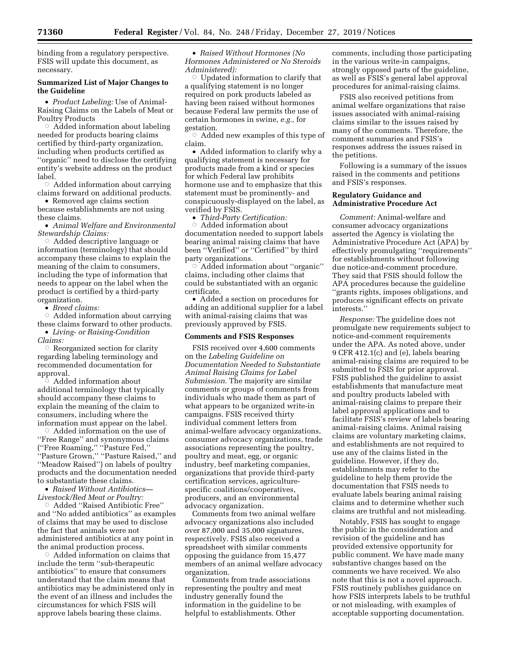binding from a regulatory perspective. FSIS will update this document, as necessary.

## **Summarized List of Major Changes to the Guideline**

• *Product Labeling:* Use of Animal-Raising Claims on the Labels of Meat or Poultry Products

 $\circ$  Added information about labeling needed for products bearing claims certified by third-party organization, including when products certified as ''organic'' need to disclose the certifying entity's website address on the product label.

 $\circ$  Added information about carrying claims forward on additional products.

• Removed age claims section because establishments are not using these claims.

• *Animal Welfare and Environmental Stewardship Claims:* 

 $\circ~$  Added descriptive language or information (terminology) that should accompany these claims to explain the meaning of the claim to consumers, including the type of information that needs to appear on the label when the product is certified by a third-party organization.

• *Breed claims:* 

 $\circ$  Added information about carrying these claims forward to other products.

• *Living- or Raising-Condition Claims:* 

 $\bigcirc$  Reorganized section for clarity regarding labeling terminology and recommended documentation for approval.<br>© Adde

 Added information about additional terminology that typically should accompany these claims to explain the meaning of the claim to consumers, including where the information must appear on the label.

 $\circ$  Added information on the use of ''Free Range'' and synonymous claims (''Free Roaming,'' ''Pasture Fed,'' ''Pasture Grown,'' ''Pasture Raised,'' and ''Meadow Raised'') on labels of poultry products and the documentation needed to substantiate these claims.

• *Raised Without Antibiotics— Livestock/Red Meat or Poultry:* 

Æ Added ''Raised Antibiotic Free'' and ''No added antibiotics'' as examples of claims that may be used to disclose the fact that animals were not administered antibiotics at any point in the animal production process.

 $\circ$  Added information on claims that include the term ''sub-therapeutic antibiotics'' to ensure that consumers understand that the claim means that antibiotics may be administered only in the event of an illness and includes the circumstances for which FSIS will approve labels bearing these claims.

• *Raised Without Hormones (No Hormones Administered or No Steroids Administered):* 

 $\circ$  Updated information to clarify that a qualifying statement is no longer required on pork products labeled as having been raised without hormones because Federal law permits the use of certain hormones in swine, *e.g.,* for gestation.

 $\circ$  Added new examples of this type of claim.

• Added information to clarify why a qualifying statement is necessary for products made from a kind or species for which Federal law prohibits hormone use and to emphasize that this statement must be prominently- and conspicuously-displayed on the label, as verified by FSIS.

• *Third-Party Certification:* 

 $\circ$  Added information about documentation needed to support labels bearing animal raising claims that have been ''Verified'' or ''Certified'' by third party organizations.

Æ Added information about ''organic'' claims, including other claims that could be substantiated with an organic certificate.

• Added a section on procedures for adding an additional supplier for a label with animal-raising claims that was previously approved by FSIS.

## **Comments and FSIS Responses**

FSIS received over 4,600 comments on the *Labeling Guideline on Documentation Needed to Substantiate Animal Raising Claims for Label Submission.* The majority are similar comments or groups of comments from individuals who made them as part of what appears to be organized write-in campaigns. FSIS received thirty individual comment letters from animal-welfare advocacy organizations, consumer advocacy organizations, trade associations representing the poultry, poultry and meat, egg, or organic industry, beef marketing companies, organizations that provide third-party certification services, agriculturespecific coalitions/cooperatives, producers, and an environmental advocacy organization.

Comments from two animal welfare advocacy organizations also included over 87,000 and 35,000 signatures, respectively. FSIS also received a spreadsheet with similar comments opposing the guidance from 15,477 members of an animal welfare advocacy organization.

Comments from trade associations representing the poultry and meat industry generally found the information in the guideline to be helpful to establishments. Other

comments, including those participating in the various write-in campaigns, strongly opposed parts of the guideline, as well as FSIS's general label approval procedures for animal-raising claims.

FSIS also received petitions from animal welfare organizations that raise issues associated with animal-raising claims similar to the issues raised by many of the comments. Therefore, the comment summaries and FSIS's responses address the issues raised in the petitions.

Following is a summary of the issues raised in the comments and petitions and FSIS's responses.

#### **Regulatory Guidance and Administrative Procedure Act**

*Comment:* Animal-welfare and consumer advocacy organizations asserted the Agency is violating the Administrative Procedure Act (APA) by effectively promulgating ''requirements'' for establishments without following due notice-and-comment procedure. They said that FSIS should follow the APA procedures because the guideline ''grants rights, imposes obligations, and produces significant effects on private interests.''

*Response:* The guideline does not promulgate new requirements subject to notice-and-comment requirements under the APA. As noted above, under 9 CFR 412.1(c) and (e), labels bearing animal-raising claims are required to be submitted to FSIS for prior approval. FSIS published the guideline to assist establishments that manufacture meat and poultry products labeled with animal-raising claims to prepare their label approval applications and to facilitate FSIS's review of labels bearing animal-raising claims. Animal raising claims are voluntary marketing claims, and establishments are not required to use any of the claims listed in the guideline. However, if they do, establishments may refer to the guideline to help them provide the documentation that FSIS needs to evaluate labels bearing animal raising claims and to determine whether such claims are truthful and not misleading.

Notably, FSIS has sought to engage the public in the consideration and revision of the guideline and has provided extensive opportunity for public comment. We have made many substantive changes based on the comments we have received. We also note that this is not a novel approach. FSIS routinely publishes guidance on how FSIS interprets labels to be truthful or not misleading, with examples of acceptable supporting documentation.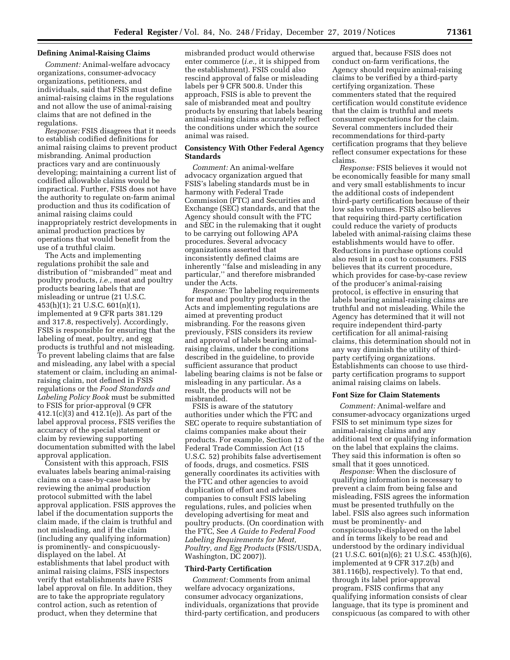## **Defining Animal-Raising Claims**

*Comment:* Animal-welfare advocacy organizations, consumer-advocacy organizations, petitioners, and individuals, said that FSIS must define animal-raising claims in the regulations and not allow the use of animal-raising claims that are not defined in the regulations.

*Response:* FSIS disagrees that it needs to establish codified definitions for animal raising claims to prevent product misbranding. Animal production practices vary and are continuously developing; maintaining a current list of codified allowable claims would be impractical. Further, FSIS does not have the authority to regulate on-farm animal production and thus its codification of animal raising claims could inappropriately restrict developments in animal production practices by operations that would benefit from the use of a truthful claim.

The Acts and implementing regulations prohibit the sale and distribution of ''misbranded'' meat and poultry products, *i.e.,* meat and poultry products bearing labels that are misleading or untrue (21 U.S.C. 453(h)(1); 21 U.S.C. 601(n)(1), implemented at 9 CFR parts 381.129 and 317.8, respectively). Accordingly, FSIS is responsible for ensuring that the labeling of meat, poultry, and egg products is truthful and not misleading. To prevent labeling claims that are false and misleading, any label with a special statement or claim, including an animalraising claim, not defined in FSIS regulations or the *Food Standards and Labeling Policy Book* must be submitted to FSIS for prior-approval (9 CFR 412.1(c)(3) and 412.1(e)). As part of the label approval process, FSIS verifies the accuracy of the special statement or claim by reviewing supporting documentation submitted with the label approval application.

Consistent with this approach, FSIS evaluates labels bearing animal-raising claims on a case-by-case basis by reviewing the animal production protocol submitted with the label approval application. FSIS approves the label if the documentation supports the claim made, if the claim is truthful and not misleading, and if the claim (including any qualifying information) is prominently- and conspicuouslydisplayed on the label. At establishments that label product with animal raising claims, FSIS inspectors verify that establishments have FSIS label approval on file. In addition, they are to take the appropriate regulatory control action, such as retention of product, when they determine that

misbranded product would otherwise enter commerce (*i.e.,* it is shipped from the establishment). FSIS could also rescind approval of false or misleading labels per 9 CFR 500.8. Under this approach, FSIS is able to prevent the sale of misbranded meat and poultry products by ensuring that labels bearing animal-raising claims accurately reflect the conditions under which the source animal was raised.

## **Consistency With Other Federal Agency Standards**

*Comment:* An animal-welfare advocacy organization argued that FSIS's labeling standards must be in harmony with Federal Trade Commission (FTC) and Securities and Exchange (SEC) standards, and that the Agency should consult with the FTC and SEC in the rulemaking that it ought to be carrying out following APA procedures. Several advocacy organizations asserted that inconsistently defined claims are inherently ''false and misleading in any particular,'' and therefore misbranded under the Acts.

*Response:* The labeling requirements for meat and poultry products in the Acts and implementing regulations are aimed at preventing product misbranding. For the reasons given previously, FSIS considers its review and approval of labels bearing animalraising claims, under the conditions described in the guideline, to provide sufficient assurance that product labeling bearing claims is not be false or misleading in any particular. As a result, the products will not be misbranded.

FSIS is aware of the statutory authorities under which the FTC and SEC operate to require substantiation of claims companies make about their products. For example, Section 12 of the Federal Trade Commission Act (15 U.S.C. 52) prohibits false advertisement of foods, drugs, and cosmetics. FSIS generally coordinates its activities with the FTC and other agencies to avoid duplication of effort and advises companies to consult FSIS labeling regulations, rules, and policies when developing advertising for meat and poultry products. (On coordination with the FTC, See *A Guide to Federal Food Labeling Requirements for Meat, Poultry, and Egg Products* (FSIS/USDA, Washington, DC 2007)).

#### **Third-Party Certification**

*Comment:* Comments from animal welfare advocacy organizations, consumer advocacy organizations, individuals, organizations that provide third-party certification, and producers argued that, because FSIS does not conduct on-farm verifications, the Agency should require animal-raising claims to be verified by a third-party certifying organization. These commenters stated that the required certification would constitute evidence that the claim is truthful and meets consumer expectations for the claim. Several commenters included their recommendations for third-party certification programs that they believe reflect consumer expectations for these claims.

*Response:* FSIS believes it would not be economically feasible for many small and very small establishments to incur the additional costs of independent third-party certification because of their low sales volumes. FSIS also believes that requiring third-party certification could reduce the variety of products labeled with animal-raising claims these establishments would have to offer. Reductions in purchase options could also result in a cost to consumers. FSIS believes that its current procedure, which provides for case-by-case review of the producer's animal-raising protocol, is effective in ensuring that labels bearing animal-raising claims are truthful and not misleading. While the Agency has determined that it will not require independent third-party certification for all animal-raising claims, this determination should not in any way diminish the utility of thirdparty certifying organizations. Establishments can choose to use thirdparty certification programs to support animal raising claims on labels.

#### **Font Size for Claim Statements**

*Comment:* Animal-welfare and consumer-advocacy organizations urged FSIS to set minimum type sizes for animal-raising claims and any additional text or qualifying information on the label that explains the claims. They said this information is often so small that it goes unnoticed.

*Response:* When the disclosure of qualifying information is necessary to prevent a claim from being false and misleading, FSIS agrees the information must be presented truthfully on the label. FSIS also agrees such information must be prominently- and conspicuously-displayed on the label and in terms likely to be read and understood by the ordinary individual (21 U.S.C. 601(n)(6); 21 U.S.C. 453(h)(6), implemented at 9 CFR 317.2(b) and 381.116(b), respectively). To that end, through its label prior-approval program, FSIS confirms that any qualifying information consists of clear language, that its type is prominent and conspicuous (as compared to with other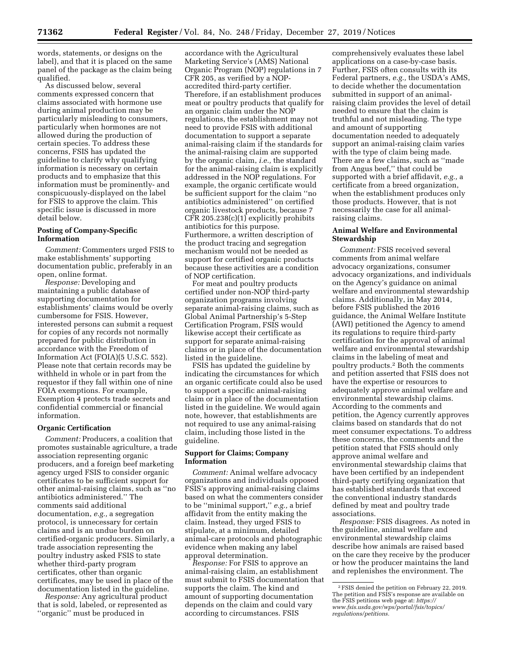words, statements, or designs on the label), and that it is placed on the same panel of the package as the claim being qualified.

As discussed below, several comments expressed concern that claims associated with hormone use during animal production may be particularly misleading to consumers, particularly when hormones are not allowed during the production of certain species. To address these concerns, FSIS has updated the guideline to clarify why qualifying information is necessary on certain products and to emphasize that this information must be prominently- and conspicuously-displayed on the label for FSIS to approve the claim. This specific issue is discussed in more detail below.

## **Posting of Company-Specific Information**

*Comment:* Commenters urged FSIS to make establishments' supporting documentation public, preferably in an open, online format.

*Response:* Developing and maintaining a public database of supporting documentation for establishments' claims would be overly cumbersome for FSIS. However, interested persons can submit a request for copies of any records not normally prepared for public distribution in accordance with the Freedom of Information Act (FOIA)(5 U.S.C. 552). Please note that certain records may be withheld in whole or in part from the requestor if they fall within one of nine FOIA exemptions. For example, Exemption 4 protects trade secrets and confidential commercial or financial information.

#### **Organic Certification**

*Comment:* Producers, a coalition that promotes sustainable agriculture, a trade association representing organic producers, and a foreign beef marketing agency urged FSIS to consider organic certificates to be sufficient support for other animal-raising claims, such as ''no antibiotics administered.'' The comments said additional documentation, *e.g.,* a segregation protocol, is unnecessary for certain claims and is an undue burden on certified-organic producers. Similarly, a trade association representing the poultry industry asked FSIS to state whether third-party program certificates, other than organic certificates, may be used in place of the documentation listed in the guideline.

*Response:* Any agricultural product that is sold, labeled, or represented as ''organic'' must be produced in

accordance with the Agricultural Marketing Service's (AMS) National Organic Program (NOP) regulations in 7 CFR 205, as verified by a NOPaccredited third-party certifier. Therefore, if an establishment produces meat or poultry products that qualify for an organic claim under the NOP regulations, the establishment may not need to provide FSIS with additional documentation to support a separate animal-raising claim if the standards for the animal-raising claim are supported by the organic claim, *i.e.,* the standard for the animal-raising claim is explicitly addressed in the NOP regulations. For example, the organic certificate would be sufficient support for the claim ''no antibiotics administered'' on certified organic livestock products, because 7 CFR 205.238(c)(1) explicitly prohibits antibiotics for this purpose. Furthermore, a written description of the product tracing and segregation mechanism would not be needed as support for certified organic products because these activities are a condition of NOP certification.

For meat and poultry products certified under non-NOP third-party organization programs involving separate animal-raising claims, such as Global Animal Partnership's 5-Step Certification Program, FSIS would likewise accept their certificate as support for separate animal-raising claims or in place of the documentation listed in the guideline.

FSIS has updated the guideline by indicating the circumstances for which an organic certificate could also be used to support a specific animal-raising claim or in place of the documentation listed in the guideline. We would again note, however, that establishments are not required to use any animal-raising claim, including those listed in the guideline.

## **Support for Claims; Company Information**

*Comment:* Animal welfare advocacy organizations and individuals opposed FSIS's approving animal-raising claims based on what the commenters consider to be ''minimal support,'' *e.g.,* a brief affidavit from the entity making the claim. Instead, they urged FSIS to stipulate, at a minimum, detailed animal-care protocols and photographic evidence when making any label approval determination.

*Response:* For FSIS to approve an animal-raising claim, an establishment must submit to FSIS documentation that supports the claim. The kind and amount of supporting documentation depends on the claim and could vary according to circumstances. FSIS

comprehensively evaluates these label applications on a case-by-case basis. Further, FSIS often consults with its Federal partners, *e.g.,* the USDA's AMS, to decide whether the documentation submitted in support of an animalraising claim provides the level of detail needed to ensure that the claim is truthful and not misleading. The type and amount of supporting documentation needed to adequately support an animal-raising claim varies with the type of claim being made. There are a few claims, such as ''made from Angus beef,'' that could be supported with a brief affidavit, *e.g.,* a certificate from a breed organization, when the establishment produces only those products. However, that is not necessarily the case for all animalraising claims.

## **Animal Welfare and Environmental Stewardship**

*Comment:* FSIS received several comments from animal welfare advocacy organizations, consumer advocacy organizations, and individuals on the Agency's guidance on animal welfare and environmental stewardship claims. Additionally, in May 2014, before FSIS published the 2016 guidance, the Animal Welfare Institute (AWI) petitioned the Agency to amend its regulations to require third-party certification for the approval of animal welfare and environmental stewardship claims in the labeling of meat and poultry products.2 Both the comments and petition asserted that FSIS does not have the expertise or resources to adequately approve animal welfare and environmental stewardship claims. According to the comments and petition, the Agency currently approves claims based on standards that do not meet consumer expectations. To address these concerns, the comments and the petition stated that FSIS should only approve animal welfare and environmental stewardship claims that have been certified by an independent third-party certifying organization that has established standards that exceed the conventional industry standards defined by meat and poultry trade associations.

*Response:* FSIS disagrees. As noted in the guideline, animal welfare and environmental stewardship claims describe how animals are raised based on the care they receive by the producer or how the producer maintains the land and replenishes the environment. The

<sup>2</sup>FSIS denied the petition on February 22, 2019. The petition and FSIS's response are available on the FSIS petitions web page at: *[https://](https://www.fsis.usda.gov/wps/portal/fsis/topics/regulations/petitions) [www.fsis.usda.gov/wps/portal/fsis/topics/](https://www.fsis.usda.gov/wps/portal/fsis/topics/regulations/petitions)  [regulations/petitions.](https://www.fsis.usda.gov/wps/portal/fsis/topics/regulations/petitions)*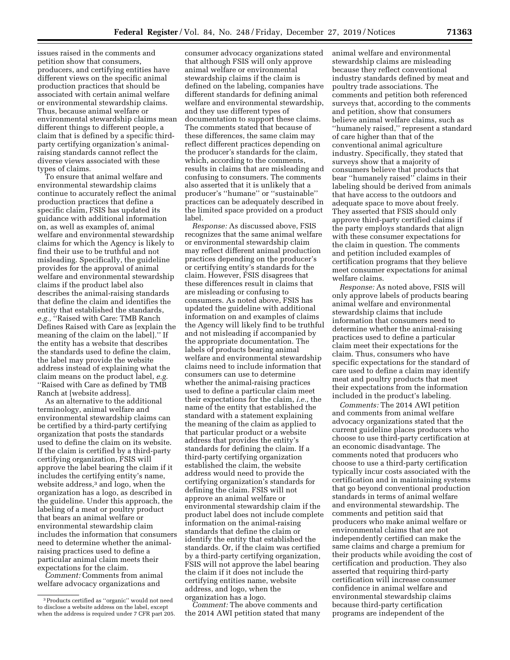issues raised in the comments and petition show that consumers, producers, and certifying entities have different views on the specific animal production practices that should be associated with certain animal welfare or environmental stewardship claims. Thus, because animal welfare or environmental stewardship claims mean different things to different people, a claim that is defined by a specific thirdparty certifying organization's animalraising standards cannot reflect the diverse views associated with these types of claims.

To ensure that animal welfare and environmental stewardship claims continue to accurately reflect the animal production practices that define a specific claim, FSIS has updated its guidance with additional information on, as well as examples of, animal welfare and environmental stewardship claims for which the Agency is likely to find their use to be truthful and not misleading. Specifically, the guideline provides for the approval of animal welfare and environmental stewardship claims if the product label also describes the animal-raising standards that define the claim and identifies the entity that established the standards, *e.g.,* ''Raised with Care: TMB Ranch Defines Raised with Care as [explain the meaning of the claim on the label].'' If the entity has a website that describes the standards used to define the claim, the label may provide the website address instead of explaining what the claim means on the product label, *e.g.*  ''Raised with Care as defined by TMB Ranch at [website address].

As an alternative to the additional terminology, animal welfare and environmental stewardship claims can be certified by a third-party certifying organization that posts the standards used to define the claim on its website. If the claim is certified by a third-party certifying organization, FSIS will approve the label bearing the claim if it includes the certifying entity's name, website address,3 and logo, when the organization has a logo, as described in the guideline. Under this approach, the labeling of a meat or poultry product that bears an animal welfare or environmental stewardship claim includes the information that consumers need to determine whether the animalraising practices used to define a particular animal claim meets their expectations for the claim.

*Comment:* Comments from animal welfare advocacy organizations and

consumer advocacy organizations stated that although FSIS will only approve animal welfare or environmental stewardship claims if the claim is defined on the labeling, companies have different standards for defining animal welfare and environmental stewardship, and they use different types of documentation to support these claims. The comments stated that because of these differences, the same claim may reflect different practices depending on the producer's standards for the claim, which, according to the comments, results in claims that are misleading and confusing to consumers. The comments also asserted that it is unlikely that a producer's ''humane'' or ''sustainable'' practices can be adequately described in the limited space provided on a product label.

*Response:* As discussed above, FSIS recognizes that the same animal welfare or environmental stewardship claim may reflect different animal production practices depending on the producer's or certifying entity's standards for the claim. However, FSIS disagrees that these differences result in claims that are misleading or confusing to consumers. As noted above, FSIS has updated the guideline with additional information on and examples of claims the Agency will likely find to be truthful and not misleading if accompanied by the appropriate documentation. The labels of products bearing animal welfare and environmental stewardship claims need to include information that consumers can use to determine whether the animal-raising practices used to define a particular claim meet their expectations for the claim, *i.e.,* the name of the entity that established the standard with a statement explaining the meaning of the claim as applied to that particular product or a website address that provides the entity's standards for defining the claim. If a third-party certifying organization established the claim, the website address would need to provide the certifying organization's standards for defining the claim. FSIS will not approve an animal welfare or environmental stewardship claim if the product label does not include complete information on the animal-raising standards that define the claim or identify the entity that established the standards. Or, if the claim was certified by a third-party certifying organization, FSIS will not approve the label bearing the claim if it does not include the certifying entities name, website address, and logo, when the organization has a logo.

*Comment:* The above comments and the 2014 AWI petition stated that many animal welfare and environmental stewardship claims are misleading because they reflect conventional industry standards defined by meat and poultry trade associations. The comments and petition both referenced surveys that, according to the comments and petition, show that consumers believe animal welfare claims, such as ''humanely raised,'' represent a standard of care higher than that of the conventional animal agriculture industry. Specifically, they stated that surveys show that a majority of consumers believe that products that bear ''humanely raised'' claims in their labeling should be derived from animals that have access to the outdoors and adequate space to move about freely. They asserted that FSIS should only approve third-party certified claims if the party employs standards that align with these consumer expectations for the claim in question. The comments and petition included examples of certification programs that they believe meet consumer expectations for animal welfare claims.

*Response:* As noted above, FSIS will only approve labels of products bearing animal welfare and environmental stewardship claims that include information that consumers need to determine whether the animal-raising practices used to define a particular claim meet their expectations for the claim. Thus, consumers who have specific expectations for the standard of care used to define a claim may identify meat and poultry products that meet their expectations from the information included in the product's labeling.

*Comments:* The 2014 AWI petition and comments from animal welfare advocacy organizations stated that the current guideline places producers who choose to use third-party certification at an economic disadvantage. The comments noted that producers who choose to use a third-party certification typically incur costs associated with the certification and in maintaining systems that go beyond conventional production standards in terms of animal welfare and environmental stewardship. The comments and petition said that producers who make animal welfare or environmental claims that are not independently certified can make the same claims and charge a premium for their products while avoiding the cost of certification and production. They also asserted that requiring third-party certification will increase consumer confidence in animal welfare and environmental stewardship claims because third-party certification programs are independent of the

<sup>3</sup>Products certified as ''organic'' would not need to disclose a website address on the label, except when the address is required under 7 CFR part 205.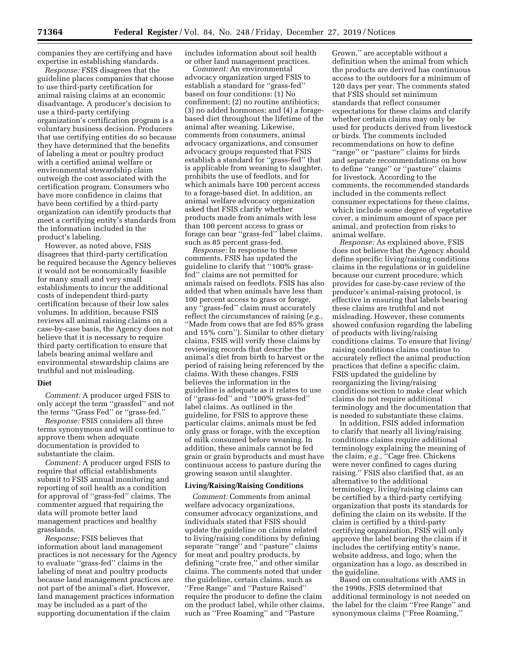companies they are certifying and have expertise in establishing standards.

*Response:* FSIS disagrees that the guideline places companies that choose to use third-party certification for animal raising claims at an economic disadvantage. A producer's decision to use a third-party certifying organization's certification program is a voluntary business decision. Producers that use certifying entities do so because they have determined that the benefits of labeling a meat or poultry product with a certified animal welfare or environmental stewardship claim outweigh the cost associated with the certification program. Consumers who have more confidence in claims that have been certified by a third-party organization can identify products that meet a certifying entity's standards from the information included in the product's labeling.

However, as noted above, FSIS disagrees that third-party certification be required because the Agency believes it would not be economically feasible for many small and very small establishments to incur the additional costs of independent third-party certification because of their low sales volumes. In addition, because FSIS reviews all animal raising claims on a case-by-case basis, the Agency does not believe that it is necessary to require third party certification to ensure that labels bearing animal welfare and environmental stewardship claims are truthful and not misleading.

## **Diet**

*Comment:* A producer urged FSIS to only accept the term ''grassfed'' and not the terms ''Grass Fed'' or ''grass-fed.''

*Response:* FSIS considers all three terms synonymous and will continue to approve them when adequate documentation is provided to substantiate the claim.

*Comment:* A producer urged FSIS to require that official establishments submit to FSIS annual monitoring and reporting of soil health as a condition for approval of ''grass-fed'' claims. The commenter argued that requiring the data will promote better land management practices and healthy grasslands.

*Response:* FSIS believes that information about land management practices is not necessary for the Agency to evaluate ''grass-fed'' claims in the labeling of meat and poultry products because land management practices are not part of the animal's diet. However, land management practices information may be included as a part of the supporting documentation if the claim

includes information about soil health or other land management practices.

*Comment:* An environmental advocacy organization urged FSIS to establish a standard for ''grass-fed'' based on four conditions: (1) No confinement; (2) no routine antibiotics; (3) no added hormones; and (4) a foragebased diet throughout the lifetime of the animal after weaning. Likewise, comments from consumers, animal advocacy organizations, and consumer advocacy groups requested that FSIS establish a standard for ''grass-fed'' that is applicable from weaning to slaughter, prohibits the use of feedlots, and for which animals have 100 percent access to a forage-based diet. In addition, an animal welfare advocacy organization asked that FSIS clarify whether products made from animals with less than 100 percent access to grass or forage can bear ''grass-fed'' label claims, such as 85 percent grass-fed.

*Response:* In response to these comments, FSIS has updated the guideline to clarify that ''100% grassfed'' claims are not permitted for animals raised on feedlots. FSIS has also added that when animals have less than 100 percent access to grass or forage, any ''grass-fed'' claim must accurately reflect the circumstances of raising (*e.g.,*  ''Made from cows that are fed 85% grass and 15% corn''). Similar to other dietary claims, FSIS will verify these claims by reviewing records that describe the animal's diet from birth to harvest or the period of raising being referenced by the claims. With these changes, FSIS believes the information in the guideline is adequate as it relates to use of ''grass-fed'' and ''100% grass-fed'' label claims. As outlined in the guideline, for FSIS to approve these particular claims, animals must be fed only grass or forage, with the exception of milk consumed before weaning. In addition, these animals cannot be fed grain or grain byproducts and must have continuous access to pasture during the growing season until slaughter.

#### **Living/Raising/Raising Conditions**

*Comment:* Comments from animal welfare advocacy organizations, consumer advocacy organizations, and individuals stated that FSIS should update the guideline on claims related to living/raising conditions by defining separate ''range'' and ''pasture'' claims for meat and poultry products, by defining ''crate free,'' and other similar claims. The comments noted that under the guideline, certain claims, such as ''Free Range'' and ''Pasture Raised'' require the producer to define the claim on the product label, while other claims, such as ''Free Roaming'' and ''Pasture

Grown,'' are acceptable without a definition when the animal from which the products are derived has continuous access to the outdoors for a minimum of 120 days per year. The comments stated that FSIS should set minimum standards that reflect consumer expectations for these claims and clarify whether certain claims may only be used for products derived from livestock or birds. The comments included recommendations on how to define ''range'' or ''pasture'' claims for birds and separate recommendations on how to define ''range'' or ''pasture'' claims for livestock. According to the comments, the recommended standards included in the comments reflect consumer expectations for these claims, which include some degree of vegetative cover, a minimum amount of space per animal, and protection from risks to animal welfare.

*Response:* As explained above, FSIS does not believe that the Agency should define specific living/raising conditions claims in the regulations or in guideline because our current procedure, which provides for case-by-case review of the producer's animal-raising protocol, is effective in ensuring that labels bearing these claims are truthful and not misleading. However, these comments showed confusion regarding the labeling of products with living/raising conditions claims. To ensure that living/ raising conditions claims continue to accurately reflect the animal production practices that define a specific claim, FSIS updated the guideline by reorganizing the living/raising conditions section to make clear which claims do not require additional terminology and the documentation that is needed to substantiate these claims.

In addition, FSIS added information to clarify that nearly all living/raising conditions claims require additional terminology explaining the meaning of the claim, *e.g.,* ''Cage free. Chickens were never confined to cages during raising.'' FSIS also clarified that, as an alternative to the additional terminology, living/raising claims can be certified by a third-party certifying organization that posts its standards for defining the claim on its website. If the claim is certified by a third-party certifying organization, FSIS will only approve the label bearing the claim if it includes the certifying entity's name, website address, and logo, when the organization has a logo, as described in the guideline.

Based on consultations with AMS in the 1990s, FSIS determined that additional terminology is not needed on the label for the claim ''Free Range'' and synonymous claims (''Free Roaming,''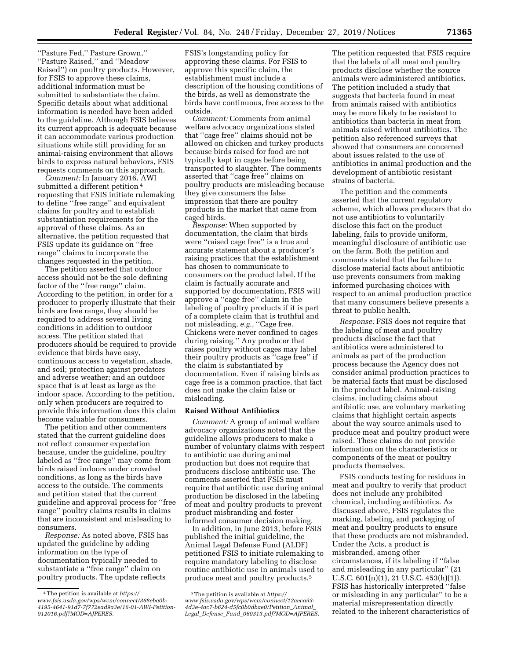''Pasture Fed,'' Pasture Grown,'' ''Pasture Raised,'' and ''Meadow Raised'') on poultry products. However, for FSIS to approve these claims, additional information must be submitted to substantiate the claim. Specific details about what additional information is needed have been added to the guideline. Although FSIS believes its current approach is adequate because it can accommodate various production situations while still providing for an animal-raising environment that allows birds to express natural behaviors, FSIS requests comments on this approach.

*Comment:* In January 2016, AWI submitted a different petition 4 requesting that FSIS initiate rulemaking to define ''free range'' and equivalent claims for poultry and to establish substantiation requirements for the approval of these claims. As an alternative, the petition requested that FSIS update its guidance on ''free range'' claims to incorporate the changes requested in the petition.

The petition asserted that outdoor access should not be the sole defining factor of the ''free range'' claim. According to the petition, in order for a producer to properly illustrate that their birds are free range, they should be required to address several living conditions in addition to outdoor access. The petition stated that producers should be required to provide evidence that birds have easy, continuous access to vegetation, shade, and soil; protection against predators and adverse weather; and an outdoor space that is at least as large as the indoor space. According to the petition, only when producers are required to provide this information does this claim become valuable for consumers.

The petition and other commenters stated that the current guideline does not reflect consumer expectation because, under the guideline, poultry labeled as ''free range'' may come from birds raised indoors under crowded conditions, as long as the birds have access to the outside. The comments and petition stated that the current guideline and approval process for ''free range'' poultry claims results in claims that are inconsistent and misleading to consumers.

*Response:* As noted above, FSIS has updated the guideline by adding information on the type of documentation typically needed to substantiate a ''free range'' claim on poultry products. The update reflects

FSIS's longstanding policy for approving these claims. For FSIS to approve this specific claim, the establishment must include a description of the housing conditions of the birds, as well as demonstrate the birds have continuous, free access to the outside.

*Comment:* Comments from animal welfare advocacy organizations stated that ''cage free'' claims should not be allowed on chicken and turkey products because birds raised for food are not typically kept in cages before being transported to slaughter. The comments asserted that ''cage free'' claims on poultry products are misleading because they give consumers the false impression that there are poultry products in the market that came from caged birds.

*Response:* When supported by documentation, the claim that birds were ''raised cage free'' is a true and accurate statement about a producer's raising practices that the establishment has chosen to communicate to consumers on the product label. If the claim is factually accurate and supported by documentation, FSIS will approve a ''cage free'' claim in the labeling of poultry products if it is part of a complete claim that is truthful and not misleading, *e.g.,* ''Cage free. Chickens were never confined to cages during raising.'' Any producer that raises poultry without cages may label their poultry products as ''cage free'' if the claim is substantiated by documentation. Even if raising birds as cage free is a common practice, that fact does not make the claim false or misleading.

## **Raised Without Antibiotics**

*Comment:* A group of animal welfare advocacy organizations noted that the guideline allows producers to make a number of voluntary claims with respect to antibiotic use during animal production but does not require that producers disclose antibiotic use. The comments asserted that FSIS must require that antibiotic use during animal production be disclosed in the labeling of meat and poultry products to prevent product misbranding and foster informed consumer decision making.

In addition, in June 2013, before FSIS published the initial guideline, the Animal Legal Defense Fund (ALDF) petitioned FSIS to initiate rulemaking to require mandatory labeling to disclose routine antibiotic use in animals used to produce meat and poultry products.5

The petition requested that FSIS require that the labels of all meat and poultry products disclose whether the source animals were administered antibiotics. The petition included a study that suggests that bacteria found in meat from animals raised with antibiotics may be more likely to be resistant to antibiotics than bacteria in meat from animals raised without antibiotics. The petition also referenced surveys that showed that consumers are concerned about issues related to the use of antibiotics in animal production and the development of antibiotic resistant strains of bacteria.

The petition and the comments asserted that the current regulatory scheme, which allows producers that do not use antibiotics to voluntarily disclose this fact on the product labeling, fails to provide uniform, meaningful disclosure of antibiotic use on the farm. Both the petition and comments stated that the failure to disclose material facts about antibiotic use prevents consumers from making informed purchasing choices with respect to an animal production practice that many consumers believe presents a threat to public health.

*Response:* FSIS does not require that the labeling of meat and poultry products disclose the fact that antibiotics were administered to animals as part of the production process because the Agency does not consider animal production practices to be material facts that must be disclosed in the product label. Animal-raising claims, including claims about antibiotic use, are voluntary marketing claims that highlight certain aspects about the way source animals used to produce meat and poultry product were raised. These claims do not provide information on the characteristics or components of the meat or poultry products themselves.

FSIS conducts testing for residues in meat and poultry to verify that product does not include any prohibited chemical, including antibiotics. As discussed above, FSIS regulates the marking, labeling, and packaging of meat and poultry products to ensure that these products are not misbranded. Under the Acts, a product is misbranded, among other circumstances, if its labeling if ''false and misleading in any particular'' (21 U.S.C. 601(n)(1), 21 U.S.C. 453(h)(1)). FSIS has historically interpreted ''false or misleading in any particular'' to be a material misrepresentation directly related to the inherent characteristics of

<sup>4</sup>The petition is available at *[https://](https://www.fsis.usda.gov/wps/wcm/connect/368eba0b-4195-4641-91d7-7f772ead9a3e/16-01-AWI-Petition-012016.pdf?MOD=AJPERES) [www.fsis.usda.gov/wps/wcm/connect/368eba0b-](https://www.fsis.usda.gov/wps/wcm/connect/368eba0b-4195-4641-91d7-7f772ead9a3e/16-01-AWI-Petition-012016.pdf?MOD=AJPERES)[4195-4641-91d7-7f772ead9a3e/16-01-AWI-Petition-](https://www.fsis.usda.gov/wps/wcm/connect/368eba0b-4195-4641-91d7-7f772ead9a3e/16-01-AWI-Petition-012016.pdf?MOD=AJPERES)[012016.pdf?MOD=AJPERES.](https://www.fsis.usda.gov/wps/wcm/connect/368eba0b-4195-4641-91d7-7f772ead9a3e/16-01-AWI-Petition-012016.pdf?MOD=AJPERES)* 

<sup>5</sup>The petition is available at *[https://](https://www.fsis.usda.gov/wps/wcm/connect/12aeca93-4d3e-4ac7-b624-d5fc0b0dbae0/Petition_Animal_Legal_Defense_Fund_060313.pdf?MOD=AJPERES) [www.fsis.usda.gov/wps/wcm/connect/12aeca93-](https://www.fsis.usda.gov/wps/wcm/connect/12aeca93-4d3e-4ac7-b624-d5fc0b0dbae0/Petition_Animal_Legal_Defense_Fund_060313.pdf?MOD=AJPERES)  [4d3e-4ac7-b624-d5fc0b0dbae0/Petition](https://www.fsis.usda.gov/wps/wcm/connect/12aeca93-4d3e-4ac7-b624-d5fc0b0dbae0/Petition_Animal_Legal_Defense_Fund_060313.pdf?MOD=AJPERES)*\_*Animal*\_ *Legal*\_*Defense*\_*Fund*\_*[060313.pdf?MOD=AJPERES.](https://www.fsis.usda.gov/wps/wcm/connect/12aeca93-4d3e-4ac7-b624-d5fc0b0dbae0/Petition_Animal_Legal_Defense_Fund_060313.pdf?MOD=AJPERES)*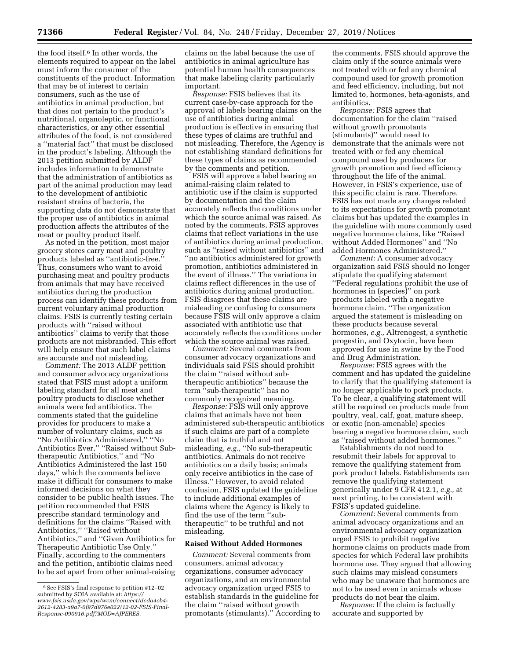the food itself.<sup>6</sup> In other words, the elements required to appear on the label must inform the consumer of the constituents of the product. Information that may be of interest to certain consumers, such as the use of antibiotics in animal production, but that does not pertain to the product's nutritional, organoleptic, or functional characteristics, or any other essential attributes of the food, is not considered a ''material fact'' that must be disclosed in the product's labeling. Although the 2013 petition submitted by ALDF includes information to demonstrate that the administration of antibiotics as part of the animal production may lead to the development of antibiotic resistant strains of bacteria, the supporting data do not demonstrate that the proper use of antibiotics in animal production affects the attributes of the meat or poultry product itself.

As noted in the petition, most major grocery stores carry meat and poultry products labeled as ''antibiotic-free.'' Thus, consumers who want to avoid purchasing meat and poultry products from animals that may have received antibiotics during the production process can identify these products from current voluntary animal production claims. FSIS is currently testing certain products with ''raised without antibiotics'' claims to verify that those products are not misbranded. This effort will help ensure that such label claims are accurate and not misleading.

*Comment:* The 2013 ALDF petition and consumer advocacy organizations stated that FSIS must adopt a uniform labeling standard for all meat and poultry products to disclose whether animals were fed antibiotics. The comments stated that the guideline provides for producers to make a number of voluntary claims, such as ''No Antibiotics Administered,'' ''No Antibiotics Ever,'' ''Raised without Subtherapeutic Antibiotics,'' and ''No Antibiotics Administered the last 150 days,'' which the comments believe make it difficult for consumers to make informed decisions on what they consider to be public health issues. The petition recommended that FSIS prescribe standard terminology and definitions for the claims ''Raised with Antibiotics,'' ''Raised without Antibiotics,'' and ''Given Antibiotics for Therapeutic Antibiotic Use Only.'' Finally, according to the commenters and the petition, antibiotic claims need to be set apart from other animal-raising

claims on the label because the use of antibiotics in animal agriculture has potential human health consequences that make labeling clarity particularly important.

*Response:* FSIS believes that its current case-by-case approach for the approval of labels bearing claims on the use of antibiotics during animal production is effective in ensuring that these types of claims are truthful and not misleading. Therefore, the Agency is not establishing standard definitions for these types of claims as recommended by the comments and petition.

FSIS will approve a label bearing an animal-raising claim related to antibiotic use if the claim is supported by documentation and the claim accurately reflects the conditions under which the source animal was raised. As noted by the comments, FSIS approves claims that reflect variations in the use of antibiotics during animal production, such as ''raised without antibiotics'' and ''no antibiotics administered for growth promotion, antibiotics administered in the event of illness.'' The variations in claims reflect differences in the use of antibiotics during animal production. FSIS disagrees that these claims are misleading or confusing to consumers because FSIS will only approve a claim associated with antibiotic use that accurately reflects the conditions under which the source animal was raised.

*Comment:* Several comments from consumer advocacy organizations and individuals said FSIS should prohibit the claim ''raised without subtherapeutic antibiotics'' because the term ''sub-therapeutic'' has no commonly recognized meaning.

*Response:* FSIS will only approve claims that animals have not been administered sub-therapeutic antibiotics if such claims are part of a complete claim that is truthful and not misleading, *e.g.,* ''No sub-therapeutic antibiotics. Animals do not receive antibiotics on a daily basis; animals only receive antibiotics in the case of illness.'' However, to avoid related confusion, FSIS updated the guideline to include additional examples of claims where the Agency is likely to find the use of the term ''subtherapeutic'' to be truthful and not misleading.

## **Raised Without Added Hormones**

*Comment:* Several comments from consumers, animal advocacy organizations, consumer advocacy organizations, and an environmental advocacy organization urged FSIS to establish standards in the guideline for the claim ''raised without growth promotants (stimulants).'' According to

the comments, FSIS should approve the claim only if the source animals were not treated with or fed any chemical compound used for growth promotion and feed efficiency, including, but not limited to, hormones, beta-agonists, and antibiotics.

*Response:* FSIS agrees that documentation for the claim ''raised without growth promotants (stimulants)'' would need to demonstrate that the animals were not treated with or fed any chemical compound used by producers for growth promotion and feed efficiency throughout the life of the animal. However, in FSIS's experience, use of this specific claim is rare. Therefore, FSIS has not made any changes related to its expectations for growth promotant claims but has updated the examples in the guideline with more commonly used negative hormone claims, like ''Raised without Added Hormones'' and ''No added Hormones Administered.''

*Comment:* A consumer advocacy organization said FSIS should no longer stipulate the qualifying statement ''Federal regulations prohibit the use of hormones in (species)'' on pork products labeled with a negative hormone claim. ''The organization argued the statement is misleading on these products because several hormones, *e.g.,* Altrenogest, a synthetic progestin, and Oxytocin, have been approved for use in swine by the Food and Drug Administration.

*Response:* FSIS agrees with the comment and has updated the guideline to clarify that the qualifying statement is no longer applicable to pork products. To be clear, a qualifying statement will still be required on products made from poultry, veal, calf, goat, mature sheep, or exotic (non-amenable) species bearing a negative hormone claim, such as ''raised without added hormones.''

Establishments do not need to resubmit their labels for approval to remove the qualifying statement from pork product labels. Establishments can remove the qualifying statement generically under 9 CFR 412.1, *e.g.,* at next printing, to be consistent with FSIS's updated guideline.

*Comment:* Several comments from animal advocacy organizations and an environmental advocacy organization urged FSIS to prohibit negative hormone claims on products made from species for which Federal law prohibits hormone use. They argued that allowing such claims may mislead consumers who may be unaware that hormones are not to be used even in animals whose products do not bear the claim.

*Response:* If the claim is factually accurate and supported by

<sup>6</sup>See FSIS's final response to petition #12–02 submitted by SOIA available at: *[https://](https://www.fsis.usda.gov/wps/wcm/connect/dcda4cb4-2612-4283-a9a7-0f97d976e022/12-02-FSIS-Final-Response-090916.pdf?MOD=AJPERES) [www.fsis.usda.gov/wps/wcm/connect/dcda4cb4-](https://www.fsis.usda.gov/wps/wcm/connect/dcda4cb4-2612-4283-a9a7-0f97d976e022/12-02-FSIS-Final-Response-090916.pdf?MOD=AJPERES) [2612-4283-a9a7-0f97d976e022/12-02-FSIS-Final-](https://www.fsis.usda.gov/wps/wcm/connect/dcda4cb4-2612-4283-a9a7-0f97d976e022/12-02-FSIS-Final-Response-090916.pdf?MOD=AJPERES)[Response-090916.pdf?MOD=AJPERES.](https://www.fsis.usda.gov/wps/wcm/connect/dcda4cb4-2612-4283-a9a7-0f97d976e022/12-02-FSIS-Final-Response-090916.pdf?MOD=AJPERES)*